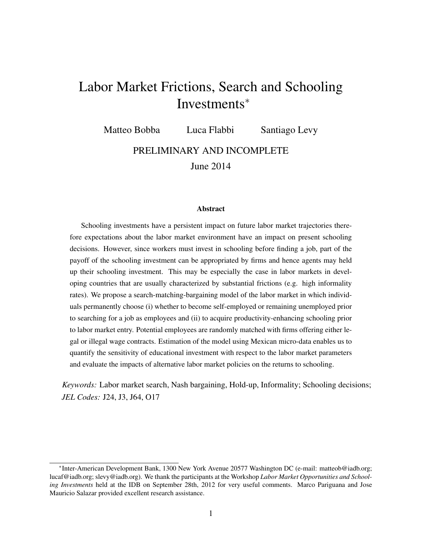# Labor Market Frictions, Search and Schooling Investments<sup>∗</sup>

Matteo Bobba Luca Flabbi Santiago Levy

PRELIMINARY AND INCOMPLETE

June 2014

#### Abstract

Schooling investments have a persistent impact on future labor market trajectories therefore expectations about the labor market environment have an impact on present schooling decisions. However, since workers must invest in schooling before finding a job, part of the payoff of the schooling investment can be appropriated by firms and hence agents may held up their schooling investment. This may be especially the case in labor markets in developing countries that are usually characterized by substantial frictions (e.g. high informality rates). We propose a search-matching-bargaining model of the labor market in which individuals permanently choose (i) whether to become self-employed or remaining unemployed prior to searching for a job as employees and (ii) to acquire productivity-enhancing schooling prior to labor market entry. Potential employees are randomly matched with firms offering either legal or illegal wage contracts. Estimation of the model using Mexican micro-data enables us to quantify the sensitivity of educational investment with respect to the labor market parameters and evaluate the impacts of alternative labor market policies on the returns to schooling.

*Keywords:* Labor market search, Nash bargaining, Hold-up, Informality; Schooling decisions; *JEL Codes:* J24, J3, J64, O17

<sup>∗</sup> Inter-American Development Bank, 1300 New York Avenue 20577 Washington DC (e-mail: matteob@iadb.org; lucaf@iadb.org; slevy@iadb.org). We thank the participants at the Workshop *Labor Market Opportunities and Schooling Investments* held at the IDB on September 28th, 2012 for very useful comments. Marco Pariguana and Jose Mauricio Salazar provided excellent research assistance.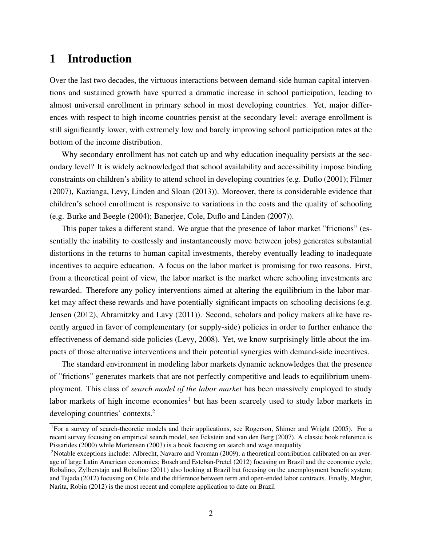# 1 Introduction

Over the last two decades, the virtuous interactions between demand-side human capital interventions and sustained growth have spurred a dramatic increase in school participation, leading to almost universal enrollment in primary school in most developing countries. Yet, major differences with respect to high income countries persist at the secondary level: average enrollment is still significantly lower, with extremely low and barely improving school participation rates at the bottom of the income distribution.

Why secondary enrollment has not catch up and why education inequality persists at the secondary level? It is widely acknowledged that school availability and accessibility impose binding constraints on children's ability to attend school in developing countries (e.g. Duflo (2001); Filmer (2007), Kazianga, Levy, Linden and Sloan (2013)). Moreover, there is considerable evidence that children's school enrollment is responsive to variations in the costs and the quality of schooling (e.g. Burke and Beegle (2004); Banerjee, Cole, Duflo and Linden (2007)).

This paper takes a different stand. We argue that the presence of labor market "frictions" (essentially the inability to costlessly and instantaneously move between jobs) generates substantial distortions in the returns to human capital investments, thereby eventually leading to inadequate incentives to acquire education. A focus on the labor market is promising for two reasons. First, from a theoretical point of view, the labor market is the market where schooling investments are rewarded. Therefore any policy interventions aimed at altering the equilibrium in the labor market may affect these rewards and have potentially significant impacts on schooling decisions (e.g. Jensen (2012), Abramitzky and Lavy (2011)). Second, scholars and policy makers alike have recently argued in favor of complementary (or supply-side) policies in order to further enhance the effectiveness of demand-side policies (Levy, 2008). Yet, we know surprisingly little about the impacts of those alternative interventions and their potential synergies with demand-side incentives.

The standard environment in modeling labor markets dynamic acknowledges that the presence of "frictions" generates markets that are not perfectly competitive and leads to equilibrium unemployment. This class of *search model of the labor market* has been massively employed to study labor markets of high income economies<sup>1</sup> but has been scarcely used to study labor markets in developing countries' contexts.<sup>2</sup>

<sup>1</sup>For a survey of search-theoretic models and their applications, see Rogerson, Shimer and Wright (2005). For a recent survey focusing on empirical search model, see Eckstein and van den Berg (2007). A classic book reference is Pissarides (2000) while Mortensen (2003) is a book focusing on search and wage inequality

<sup>2</sup>Notable exceptions include: Albrecht, Navarro and Vroman (2009), a theoretical contribution calibrated on an average of large Latin American economies; Bosch and Esteban-Pretel (2012) focusing on Brazil and the economic cycle; Robalino, Zylberstajn and Robalino (2011) also looking at Brazil but focusing on the unemployment benefit system; and Tejada (2012) focusing on Chile and the difference between term and open-ended labor contracts. Finally, Meghir, Narita, Robin (2012) is the most recent and complete application to date on Brazil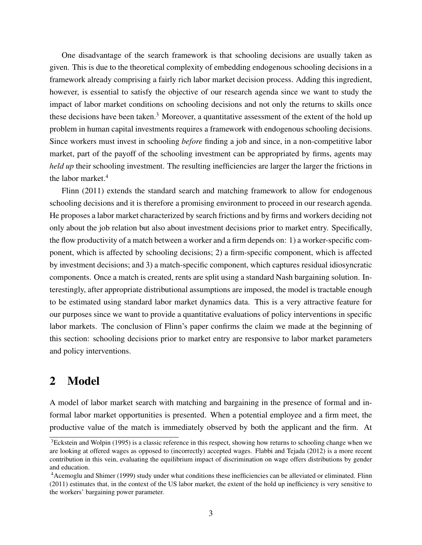One disadvantage of the search framework is that schooling decisions are usually taken as given. This is due to the theoretical complexity of embedding endogenous schooling decisions in a framework already comprising a fairly rich labor market decision process. Adding this ingredient, however, is essential to satisfy the objective of our research agenda since we want to study the impact of labor market conditions on schooling decisions and not only the returns to skills once these decisions have been taken.<sup>3</sup> Moreover, a quantitative assessment of the extent of the hold up problem in human capital investments requires a framework with endogenous schooling decisions. Since workers must invest in schooling *before* finding a job and since, in a non-competitive labor market, part of the payoff of the schooling investment can be appropriated by firms, agents may *held up* their schooling investment. The resulting inefficiencies are larger the larger the frictions in the labor market.<sup>4</sup>

Flinn (2011) extends the standard search and matching framework to allow for endogenous schooling decisions and it is therefore a promising environment to proceed in our research agenda. He proposes a labor market characterized by search frictions and by firms and workers deciding not only about the job relation but also about investment decisions prior to market entry. Specifically, the flow productivity of a match between a worker and a firm depends on: 1) a worker-specific component, which is affected by schooling decisions; 2) a firm-specific component, which is affected by investment decisions; and 3) a match-specific component, which captures residual idiosyncratic components. Once a match is created, rents are split using a standard Nash bargaining solution. Interestingly, after appropriate distributional assumptions are imposed, the model is tractable enough to be estimated using standard labor market dynamics data. This is a very attractive feature for our purposes since we want to provide a quantitative evaluations of policy interventions in specific labor markets. The conclusion of Flinn's paper confirms the claim we made at the beginning of this section: schooling decisions prior to market entry are responsive to labor market parameters and policy interventions.

### 2 Model

A model of labor market search with matching and bargaining in the presence of formal and informal labor market opportunities is presented. When a potential employee and a firm meet, the productive value of the match is immediately observed by both the applicant and the firm. At

<sup>&</sup>lt;sup>3</sup>Eckstein and Wolpin (1995) is a classic reference in this respect, showing how returns to schooling change when we are looking at offered wages as opposed to (incorrectly) accepted wages. Flabbi and Tejada (2012) is a more recent contribution in this vein, evaluating the equilibrium impact of discrimination on wage offers distributions by gender and education.

<sup>4</sup>Acemoglu and Shimer (1999) study under what conditions these inefficiencies can be alleviated or eliminated. Flinn (2011) estimates that, in the context of the US labor market, the extent of the hold up inefficiency is very sensitive to the workers' bargaining power parameter.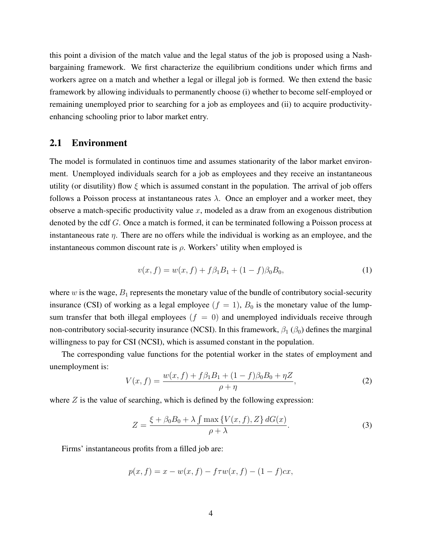this point a division of the match value and the legal status of the job is proposed using a Nashbargaining framework. We first characterize the equilibrium conditions under which firms and workers agree on a match and whether a legal or illegal job is formed. We then extend the basic framework by allowing individuals to permanently choose (i) whether to become self-employed or remaining unemployed prior to searching for a job as employees and (ii) to acquire productivityenhancing schooling prior to labor market entry.

#### 2.1 Environment

The model is formulated in continuos time and assumes stationarity of the labor market environment. Unemployed individuals search for a job as employees and they receive an instantaneous utility (or disutility) flow  $\xi$  which is assumed constant in the population. The arrival of job offers follows a Poisson process at instantaneous rates  $\lambda$ . Once an employer and a worker meet, they observe a match-specific productivity value  $x$ , modeled as a draw from an exogenous distribution denoted by the cdf G. Once a match is formed, it can be terminated following a Poisson process at instantaneous rate η. There are no offers while the individual is working as an employee, and the instantaneous common discount rate is  $\rho$ . Workers' utility when employed is

$$
v(x,f) = w(x,f) + f\beta_1 B_1 + (1-f)\beta_0 B_0,
$$
\n(1)

where  $w$  is the wage,  $B_1$  represents the monetary value of the bundle of contributory social-security insurance (CSI) of working as a legal employee  $(f = 1)$ ,  $B_0$  is the monetary value of the lumpsum transfer that both illegal employees  $(f = 0)$  and unemployed individuals receive through non-contributory social-security insurance (NCSI). In this framework,  $\beta_1$  ( $\beta_0$ ) defines the marginal willingness to pay for CSI (NCSI), which is assumed constant in the population.

The corresponding value functions for the potential worker in the states of employment and unemployment is:

$$
V(x,f) = \frac{w(x,f) + f\beta_1 B_1 + (1-f)\beta_0 B_0 + \eta Z}{\rho + \eta},
$$
\n(2)

where  $Z$  is the value of searching, which is defined by the following expression:

$$
Z = \frac{\xi + \beta_0 B_0 + \lambda \int \max \{ V(x, f), Z \} dG(x)}{\rho + \lambda}.
$$
 (3)

Firms' instantaneous profits from a filled job are:

$$
p(x, f) = x - w(x, f) - f\tau w(x, f) - (1 - f)cx,
$$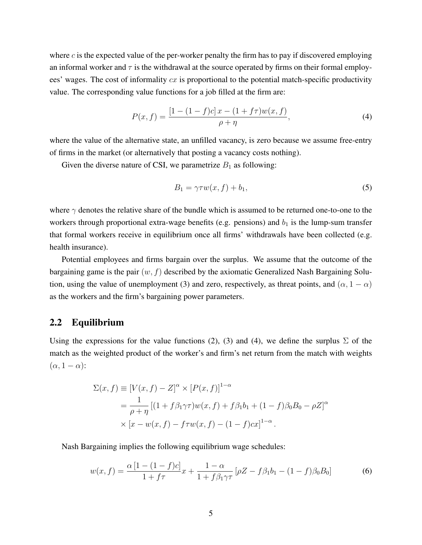where  $c$  is the expected value of the per-worker penalty the firm has to pay if discovered employing an informal worker and  $\tau$  is the withdrawal at the source operated by firms on their formal employees' wages. The cost of informality  $cx$  is proportional to the potential match-specific productivity value. The corresponding value functions for a job filled at the firm are:

$$
P(x,f) = \frac{[1 - (1 - f)c]x - (1 + f\tau)w(x,f)}{\rho + \eta},\tag{4}
$$

where the value of the alternative state, an unfilled vacancy, is zero because we assume free-entry of firms in the market (or alternatively that posting a vacancy costs nothing).

Given the diverse nature of CSI, we parametrize  $B_1$  as following:

$$
B_1 = \gamma \tau w(x, f) + b_1,\tag{5}
$$

where  $\gamma$  denotes the relative share of the bundle which is assumed to be returned one-to-one to the workers through proportional extra-wage benefits (e.g. pensions) and  $b_1$  is the lump-sum transfer that formal workers receive in equilibrium once all firms' withdrawals have been collected (e.g. health insurance).

Potential employees and firms bargain over the surplus. We assume that the outcome of the bargaining game is the pair  $(w, f)$  described by the axiomatic Generalized Nash Bargaining Solution, using the value of unemployment (3) and zero, respectively, as threat points, and  $(\alpha, 1 - \alpha)$ as the workers and the firm's bargaining power parameters.

#### 2.2 Equilibrium

Using the expressions for the value functions (2), (3) and (4), we define the surplus  $\Sigma$  of the match as the weighted product of the worker's and firm's net return from the match with weights  $(\alpha, 1 - \alpha)$ :

$$
\Sigma(x, f) \equiv [V(x, f) - Z]^{\alpha} \times [P(x, f)]^{1-\alpha}
$$
  
=  $\frac{1}{\rho + \eta} [(1 + f\beta_1 \gamma \tau) w(x, f) + f\beta_1 b_1 + (1 - f)\beta_0 B_0 - \rho Z]^{\alpha}$   
 $\times [x - w(x, f) - f\tau w(x, f) - (1 - f)cx]^{1-\alpha}.$ 

Nash Bargaining implies the following equilibrium wage schedules:

$$
w(x,f) = \frac{\alpha [1 - (1 - f)c]}{1 + f\tau} x + \frac{1 - \alpha}{1 + f\beta_1\gamma\tau} [\rho Z - f\beta_1 b_1 - (1 - f)\beta_0 B_0]
$$
(6)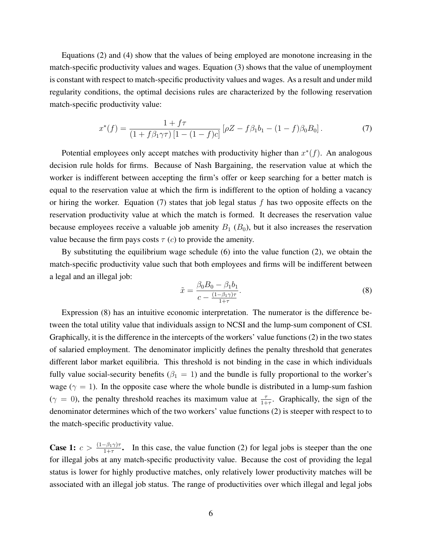Equations (2) and (4) show that the values of being employed are monotone increasing in the match-specific productivity values and wages. Equation (3) shows that the value of unemployment is constant with respect to match-specific productivity values and wages. As a result and under mild regularity conditions, the optimal decisions rules are characterized by the following reservation match-specific productivity value:

$$
x^*(f) = \frac{1+f\tau}{(1+f\beta_1\gamma\tau)\left[1-(1-f)c\right]} \left[\rho Z - f\beta_1 b_1 - (1-f)\beta_0 B_0\right].\tag{7}
$$

Potential employees only accept matches with productivity higher than  $x^*(f)$ . An analogous decision rule holds for firms. Because of Nash Bargaining, the reservation value at which the worker is indifferent between accepting the firm's offer or keep searching for a better match is equal to the reservation value at which the firm is indifferent to the option of holding a vacancy or hiring the worker. Equation (7) states that job legal status f has two opposite effects on the reservation productivity value at which the match is formed. It decreases the reservation value because employees receive a valuable job amenity  $B_1$  ( $B_0$ ), but it also increases the reservation value because the firm pays costs  $\tau(c)$  to provide the amenity.

By substituting the equilibrium wage schedule (6) into the value function (2), we obtain the match-specific productivity value such that both employees and firms will be indifferent between a legal and an illegal job:

$$
\tilde{x} = \frac{\beta_0 B_0 - \beta_1 b_1}{c - \frac{(1 - \beta_1 \gamma)\tau}{1 + \tau}}.
$$
\n(8)

Expression (8) has an intuitive economic interpretation. The numerator is the difference between the total utility value that individuals assign to NCSI and the lump-sum component of CSI. Graphically, it is the difference in the intercepts of the workers' value functions (2) in the two states of salaried employment. The denominator implicitly defines the penalty threshold that generates different labor market equilibria. This threshold is not binding in the case in which individuals fully value social-security benefits ( $\beta_1 = 1$ ) and the bundle is fully proportional to the worker's wage ( $\gamma = 1$ ). In the opposite case where the whole bundle is distributed in a lump-sum fashion ( $\gamma = 0$ ), the penalty threshold reaches its maximum value at  $\frac{\tau}{1+\tau}$ . Graphically, the sign of the denominator determines which of the two workers' value functions (2) is steeper with respect to to the match-specific productivity value.

**Case 1:**  $c > \frac{(1-\beta_1\gamma)\tau}{1+\tau}$ . In this case, the value function (2) for legal jobs is steeper than the one for illegal jobs at any match-specific productivity value. Because the cost of providing the legal status is lower for highly productive matches, only relatively lower productivity matches will be associated with an illegal job status. The range of productivities over which illegal and legal jobs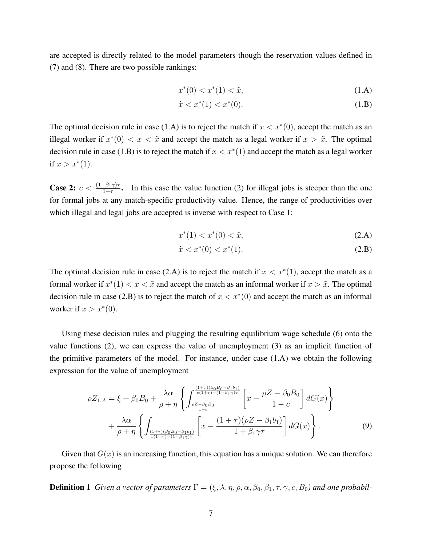are accepted is directly related to the model parameters though the reservation values defined in (7) and (8). There are two possible rankings:

$$
x^*(0) < x^*(1) < \tilde{x},\tag{1.A}
$$

$$
\tilde{x} < x^*(1) < x^*(0). \tag{1.B}
$$

The optimal decision rule in case (1.A) is to reject the match if  $x < x^*(0)$ , accept the match as an illegal worker if  $x^*(0) < x < \tilde{x}$  and accept the match as a legal worker if  $x > \tilde{x}$ . The optimal decision rule in case (1.B) is to reject the match if  $x < x^*(1)$  and accept the match as a legal worker if  $x > x^*(1)$ .

**Case 2:**  $c < \frac{(1-\beta_1\gamma)\tau}{1+\tau}$ . In this case the value function (2) for illegal jobs is steeper than the one for formal jobs at any match-specific productivity value. Hence, the range of productivities over which illegal and legal jobs are accepted is inverse with respect to Case 1:

$$
x^*(1) < x^*(0) < \tilde{x},\tag{2.A}
$$

$$
\tilde{x} < x^*(0) < x^*(1). \tag{2.B}
$$

The optimal decision rule in case (2.A) is to reject the match if  $x < x^*(1)$ , accept the match as a formal worker if  $x^*(1) < x < \tilde{x}$  and accept the match as an informal worker if  $x > \tilde{x}$ . The optimal decision rule in case (2.B) is to reject the match of  $x < x^*(0)$  and accept the match as an informal worker if  $x > x^*(0)$ .

Using these decision rules and plugging the resulting equilibrium wage schedule (6) onto the value functions (2), we can express the value of unemployment (3) as an implicit function of the primitive parameters of the model. For instance, under case (1.A) we obtain the following expression for the value of unemployment

$$
\rho Z_{1.A} = \xi + \beta_0 B_0 + \frac{\lambda \alpha}{\rho + \eta} \left\{ \int_{\frac{\rho Z - \beta_0 B_0}{c(1+\tau)-(1-\beta_1\gamma)\tau}}^{\frac{(1+\tau)(\beta_0 B_0 - \beta_1 b_1)}{c(1+\tau)-(1-\beta_1\gamma)\tau}} \left[ x - \frac{\rho Z - \beta_0 B_0}{1-c} \right] dG(x) \right\} + \frac{\lambda \alpha}{\rho + \eta} \left\{ \int_{\frac{(1+\tau)(\beta_0 B_0 - \beta_1 b_1)}{c(1+\tau)-(1-\beta_1\gamma)\tau}}^{\frac{(1+\tau)(\beta_0 B_0 - \beta_1 b_1)}{1-c}} \left[ x - \frac{(1+\tau)(\rho Z - \beta_1 b_1)}{1+\beta_1\gamma\tau} \right] dG(x) \right\}.
$$
\n(9)

Given that  $G(x)$  is an increasing function, this equation has a unique solution. We can therefore propose the following

**Definition 1** *Given a vector of parameters*  $\Gamma = (\xi, \lambda, \eta, \rho, \alpha, \beta_0, \beta_1, \tau, \gamma, c, B_0)$  *and one probabil-*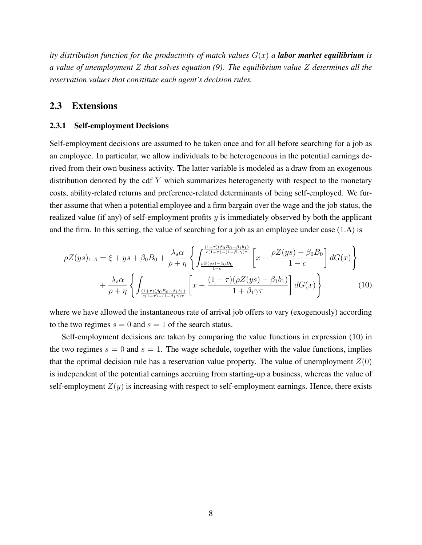*ity distribution function for the productivity of match values*  $G(x)$  *a labor market equilibrium is a value of unemployment* Z *that solves equation (9). The equilibrium value* Z *determines all the reservation values that constitute each agent's decision rules.*

#### 2.3 Extensions

#### 2.3.1 Self-employment Decisions

Self-employment decisions are assumed to be taken once and for all before searching for a job as an employee. In particular, we allow individuals to be heterogeneous in the potential earnings derived from their own business activity. The latter variable is modeled as a draw from an exogenous distribution denoted by the cdf  $Y$  which summarizes heterogeneity with respect to the monetary costs, ability-related returns and preference-related determinants of being self-employed. We further assume that when a potential employee and a firm bargain over the wage and the job status, the realized value (if any) of self-employment profits  $y$  is immediately observed by both the applicant and the firm. In this setting, the value of searching for a job as an employee under case (1.A) is

$$
\rho Z(ys)_{1.A} = \xi + ys + \beta_0 B_0 + \frac{\lambda_s \alpha}{\rho + \eta} \left\{ \int_{\frac{\rho Z(ys) - \beta_0 B_0}{1 - c}}^{\frac{(1 + \tau)(\beta_0 B_0 - \beta_1 b_1)}{c(1 + \tau) - (1 - \beta_1 \gamma)\tau}} \left[ x - \frac{\rho Z(ys) - \beta_0 B_0}{1 - c} \right] dG(x) \right\}
$$

$$
+ \frac{\lambda_s \alpha}{\rho + \eta} \left\{ \int_{\frac{(1 + \tau)(\beta_0 B_0 - \beta_1 b_1)}{c(1 + \tau) - (1 - \beta_1 \gamma)\tau}} \left[ x - \frac{(1 + \tau)(\rho Z(ys) - \beta_1 b_1)}{1 + \beta_1 \gamma \tau} \right] dG(x) \right\}.
$$
(10)

where we have allowed the instantaneous rate of arrival job offers to vary (exogenously) according to the two regimes  $s = 0$  and  $s = 1$  of the search status.

Self-employment decisions are taken by comparing the value functions in expression (10) in the two regimes  $s = 0$  and  $s = 1$ . The wage schedule, together with the value functions, implies that the optimal decision rule has a reservation value property. The value of unemployment  $Z(0)$ is independent of the potential earnings accruing from starting-up a business, whereas the value of self-employment  $Z(y)$  is increasing with respect to self-employment earnings. Hence, there exists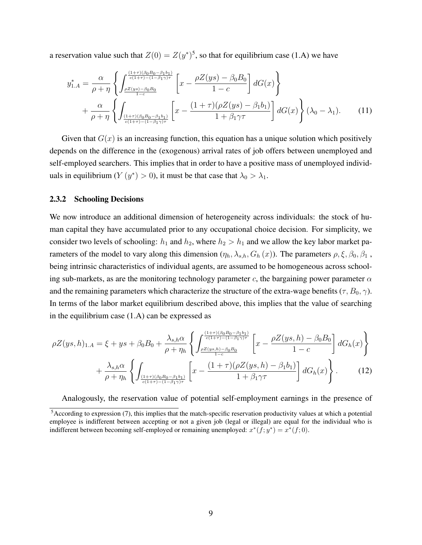a reservation value such that  $Z(0) = Z(y^*)^5$ , so that for equilibrium case (1.A) we have

$$
y_{1.A}^{*} = \frac{\alpha}{\rho + \eta} \left\{ \int_{\frac{\rho Z(y s) - \beta_0 B_0}{c(1 + \tau) - (1 - \beta_1 \gamma)\tau}}^{\frac{(1 + \tau)(\beta_0 B_0 - \beta_1 b_1)}{c(1 + \tau) - (1 - \beta_1 \gamma)\tau}} \left[ x - \frac{\rho Z(y s) - \beta_0 B_0}{1 - c} \right] dG(x) \right\}
$$
  
+ 
$$
\frac{\alpha}{\rho + \eta} \left\{ \int_{\frac{(1 + \tau)(\beta_0 B_0 - \beta_1 b_1)}{c(1 + \tau) - (1 - \beta_1 \gamma)\tau}} \left[ x - \frac{(1 + \tau)(\rho Z(y s) - \beta_1 b_1)}{1 + \beta_1 \gamma \tau} \right] dG(x) \right\} (\lambda_0 - \lambda_1).
$$
(11)

Given that  $G(x)$  is an increasing function, this equation has a unique solution which positively depends on the difference in the (exogenous) arrival rates of job offers between unemployed and self-employed searchers. This implies that in order to have a positive mass of unemployed individuals in equilibrium  $(Y(y^*) > 0)$ , it must be that case that  $\lambda_0 > \lambda_1$ .

#### 2.3.2 Schooling Decisions

We now introduce an additional dimension of heterogeneity across individuals: the stock of human capital they have accumulated prior to any occupational choice decision. For simplicity, we consider two levels of schooling:  $h_1$  and  $h_2$ , where  $h_2 > h_1$  and we allow the key labor market parameters of the model to vary along this dimension  $(\eta_h, \lambda_{s,h}, G_h(x))$ . The parameters  $\rho, \xi, \beta_0, \beta_1$ , being intrinsic characteristics of individual agents, are assumed to be homogeneous across schooling sub-markets, as are the monitoring technology parameter c, the bargaining power parameter  $\alpha$ and the remaining parameters which characterize the structure of the extra-wage benefits ( $\tau$ ,  $B_0$ ,  $\gamma$ ). In terms of the labor market equilibrium described above, this implies that the value of searching in the equilibrium case (1.A) can be expressed as

$$
\rho Z(ys,h)_{1.A} = \xi + ys + \beta_0 B_0 + \frac{\lambda_{s,h}\alpha}{\rho + \eta_h} \left\{ \int_{\frac{\rho Z(ys,h) - \beta_0 B_0}{1-c}}^{\frac{(1+\tau)(\beta_0 B_0 - \beta_1 b_1)}{c(1+\tau)-(1-\beta_1\gamma)\tau}} \left[ x - \frac{\rho Z(ys,h) - \beta_0 B_0}{1-c} \right] dG_h(x) \right\}
$$

$$
+ \frac{\lambda_{s,h}\alpha}{\rho + \eta_h} \left\{ \int_{\frac{(1+\tau)(\beta_0 B_0 - \beta_1 b_1)}{c(1+\tau)-(1-\beta_1\gamma)\tau}} \left[ x - \frac{(1+\tau)(\rho Z(ys,h) - \beta_1 b_1)}{1+\beta_1\gamma\tau} \right] dG_h(x) \right\}.
$$
(12)

Analogously, the reservation value of potential self-employment earnings in the presence of

<sup>5</sup>According to expression (7), this implies that the match-specific reservation productivity values at which a potential employee is indifferent between accepting or not a given job (legal or illegal) are equal for the individual who is indifferent between becoming self-employed or remaining unemployed:  $x^*(f; y^*) = x^*(f; 0)$ .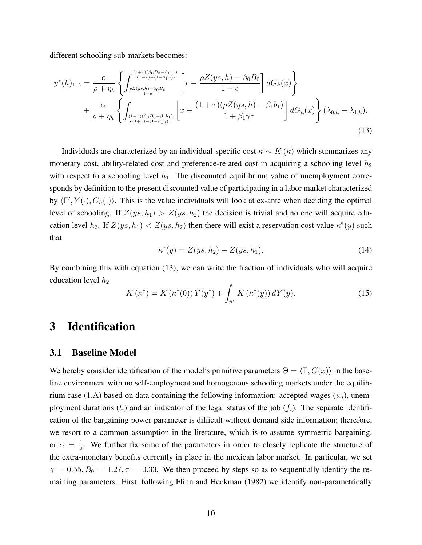different schooling sub-markets becomes:

$$
y^{*}(h)_{1.A} = \frac{\alpha}{\rho + \eta_{h}} \left\{ \int_{\frac{\rho Z(y_s, h) - \beta_{0}B_{0}}{c(1+\tau)-(1-\beta_{1}\gamma)\tau}}^{\frac{(1+\tau)(\beta_{0}B_{0}-\beta_{1}b_{1})}{c(1+\tau)-(1-\beta_{1}\gamma)\tau}} \left[ x - \frac{\rho Z(y_s, h) - \beta_{0}B_{0}}{1-c} \right] dG_{h}(x) \right\} + \frac{\alpha}{\rho + \eta_{h}} \left\{ \int_{\frac{(1+\tau)(\beta_{0}B_{0}-\beta_{1}b_{1})}{c(1+\tau)-(1-\beta_{1}\gamma)\tau}}^{\frac{(1+\tau)(\beta_{0}B_{0}-\beta_{1}b_{1})}{c(1+\tau)-(1-\beta_{1}\gamma)\tau}} \left[ x - \frac{(1+\tau)(\rho Z(y_s, h) - \beta_{1}b_{1})}{1+\beta_{1}\gamma\tau} \right] dG_{h}(x) \right\} (\lambda_{0,h} - \lambda_{1,h}).
$$
\n(13)

Individuals are characterized by an individual-specific cost  $\kappa \sim K(\kappa)$  which summarizes any monetary cost, ability-related cost and preference-related cost in acquiring a schooling level  $h_2$ with respect to a schooling level  $h_1$ . The discounted equilibrium value of unemployment corresponds by definition to the present discounted value of participating in a labor market characterized by  $\langle \Gamma', Y(\cdot), G_h(\cdot) \rangle$ . This is the value individuals will look at ex-ante when deciding the optimal level of schooling. If  $Z(ys, h_1) > Z(ys, h_2)$  the decision is trivial and no one will acquire education level  $h_2$ . If  $Z(ys, h_1) < Z(ys, h_2)$  then there will exist a reservation cost value  $\kappa^*(y)$  such that

$$
\kappa^*(y) = Z(ys, h_2) - Z(ys, h_1). \tag{14}
$$

By combining this with equation (13), we can write the fraction of individuals who will acquire education level  $h_2$ 

$$
K(\kappa^*) = K(\kappa^*(0)) Y(y^*) + \int_{y^*} K(\kappa^*(y)) dY(y).
$$
 (15)

# 3 Identification

#### 3.1 Baseline Model

We hereby consider identification of the model's primitive parameters  $\Theta = \langle \Gamma, G(x) \rangle$  in the baseline environment with no self-employment and homogenous schooling markets under the equilibrium case (1.A) based on data containing the following information: accepted wages  $(w_i)$ , unemployment durations  $(t_i)$  and an indicator of the legal status of the job  $(f_i)$ . The separate identification of the bargaining power parameter is difficult without demand side information; therefore, we resort to a common assumption in the literature, which is to assume symmetric bargaining, or  $\alpha = \frac{1}{2}$  $\frac{1}{2}$ . We further fix some of the parameters in order to closely replicate the structure of the extra-monetary benefits currently in place in the mexican labor market. In particular, we set  $\gamma = 0.55, B_0 = 1.27, \tau = 0.33$ . We then proceed by steps so as to sequentially identify the remaining parameters. First, following Flinn and Heckman (1982) we identify non-parametrically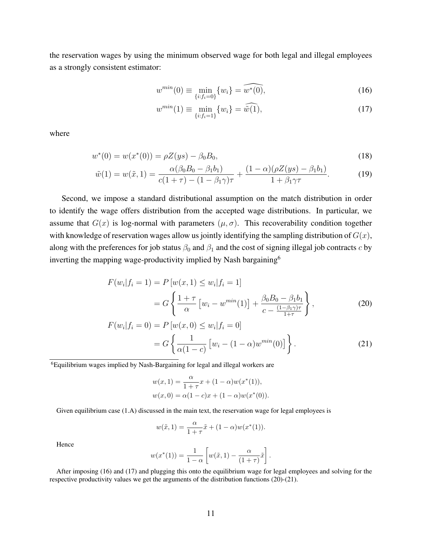the reservation wages by using the minimum observed wage for both legal and illegal employees as a strongly consistent estimator:

$$
w^{min}(0) \equiv \min_{\{i: f_i = 0\}} \{w_i\} = \widehat{w^*(0)},
$$
\n(16)

$$
w^{\min}(1) \equiv \min_{\{i:f_i=1\}} \{w_i\} = \widehat{w}(1),\tag{17}
$$

where

$$
w^*(0) = w(x^*(0)) = \rho Z(ys) - \beta_0 B_0,
$$
\n(18)

$$
\tilde{w}(1) = w(\tilde{x}, 1) = \frac{\alpha(\beta_0 B_0 - \beta_1 b_1)}{c(1 + \tau) - (1 - \beta_1 \gamma)\tau} + \frac{(1 - \alpha)(\rho Z(ys) - \beta_1 b_1)}{1 + \beta_1 \gamma \tau}.
$$
(19)

Second, we impose a standard distributional assumption on the match distribution in order to identify the wage offers distribution from the accepted wage distributions. In particular, we assume that  $G(x)$  is log-normal with parameters  $(\mu, \sigma)$ . This recoverability condition together with knowledge of reservation wages allow us jointly identifying the sampling distribution of  $G(x)$ , along with the preferences for job status  $\beta_0$  and  $\beta_1$  and the cost of signing illegal job contracts c by inverting the mapping wage-productivity implied by Nash bargaining<sup>6</sup>

$$
F(w_i|f_i = 1) = P[w(x, 1) \le w_i|f_i = 1]
$$
  
=  $G\left\{\frac{1+\tau}{\alpha} [w_i - w^{min}(1)] + \frac{\beta_0 B_0 - \beta_1 b_1}{c - \frac{(1-\beta_1 \gamma)\tau}{1+\tau}}\right\},$  (20)

$$
F(w_i|f_i = 0) = P[w(x, 0) \le w_i|f_i = 0]
$$
  
=  $G\left\{\frac{1}{\alpha(1-c)} [w_i - (1-\alpha)w^{min}(0)]\right\}.$  (21)

<sup>6</sup>Equilibrium wages implied by Nash-Bargaining for legal and illegal workers are

$$
w(x, 1) = \frac{\alpha}{1 + \tau} x + (1 - \alpha) w(x^*(1)),
$$
  

$$
w(x, 0) = \alpha (1 - c) x + (1 - \alpha) w(x^*(0)).
$$

Given equilibrium case (1.A) discussed in the main text, the reservation wage for legal employees is

$$
w(\tilde{x}, 1) = \frac{\alpha}{1 + \tau} \tilde{x} + (1 - \alpha) w(x^*(1)).
$$

Hence

$$
w(x^*(1)) = \frac{1}{1-\alpha} \left[ w(\tilde{x}, 1) - \frac{\alpha}{(1+\tau)} \tilde{x} \right].
$$

After imposing (16) and (17) and plugging this onto the equilibrium wage for legal employees and solving for the respective productivity values we get the arguments of the distribution functions (20)-(21).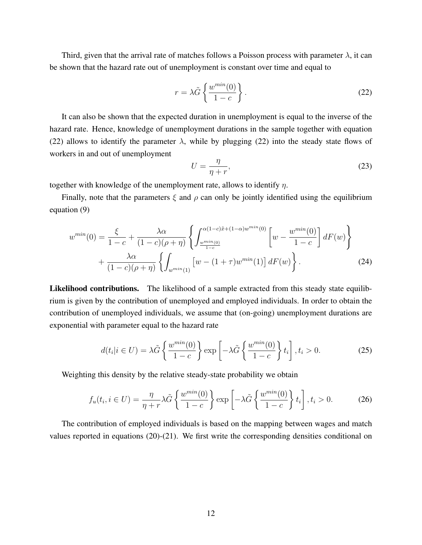Third, given that the arrival rate of matches follows a Poisson process with parameter  $\lambda$ , it can be shown that the hazard rate out of unemployment is constant over time and equal to

$$
r = \lambda \tilde{G} \left\{ \frac{w^{min}(0)}{1 - c} \right\}.
$$
 (22)

It can also be shown that the expected duration in unemployment is equal to the inverse of the hazard rate. Hence, knowledge of unemployment durations in the sample together with equation (22) allows to identify the parameter  $\lambda$ , while by plugging (22) into the steady state flows of workers in and out of unemployment

$$
U = \frac{\eta}{\eta + r},\tag{23}
$$

together with knowledge of the unemployment rate, allows to identify  $\eta$ .

Finally, note that the parameters  $\xi$  and  $\rho$  can only be jointly identified using the equilibrium equation (9)

$$
w^{min}(0) = \frac{\xi}{1-c} + \frac{\lambda \alpha}{(1-c)(\rho + \eta)} \left\{ \int_{\frac{w^{min}(0)}{1-c}}^{\alpha(1-c)\tilde{x}+(1-\alpha)w^{min}(0)} \left[ w - \frac{w^{min}(0)}{1-c} \right] dF(w) \right\} + \frac{\lambda \alpha}{(1-c)(\rho + \eta)} \left\{ \int_{w^{min}(1)} \left[ w - (1+\tau)w^{min}(1) \right] dF(w) \right\}.
$$
 (24)

Likelihood contributions. The likelihood of a sample extracted from this steady state equilibrium is given by the contribution of unemployed and employed individuals. In order to obtain the contribution of unemployed individuals, we assume that (on-going) unemployment durations are exponential with parameter equal to the hazard rate

$$
d(t_i|i \in U) = \lambda \tilde{G} \left\{ \frac{w^{min}(0)}{1-c} \right\} \exp\left[-\lambda \tilde{G} \left\{ \frac{w^{min}(0)}{1-c} \right\} t_i \right], t_i > 0.
$$
 (25)

Weighting this density by the relative steady-state probability we obtain

$$
f_u(t_i, i \in U) = \frac{\eta}{\eta + r} \lambda \tilde{G} \left\{ \frac{w^{\min}(0)}{1 - c} \right\} \exp \left[ -\lambda \tilde{G} \left\{ \frac{w^{\min}(0)}{1 - c} \right\} t_i \right], t_i > 0. \tag{26}
$$

The contribution of employed individuals is based on the mapping between wages and match values reported in equations (20)-(21). We first write the corresponding densities conditional on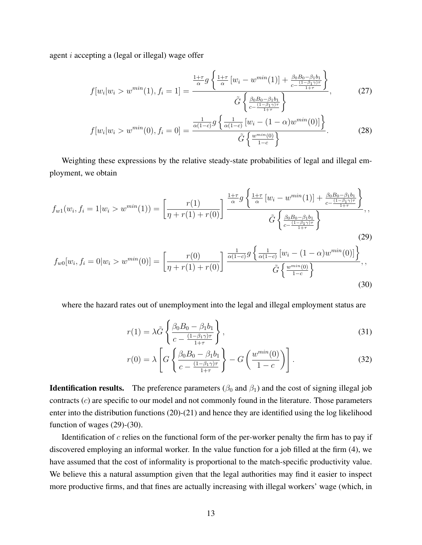agent i accepting a (legal or illegal) wage offer

$$
f[w_i|w_i > w^{min}(1), f_i = 1] = \frac{\frac{1+\tau}{\alpha}g\left\{\frac{1+\tau}{\alpha}\left[w_i - w^{min}(1)\right] + \frac{\beta_0 B_0 - \beta_1 b_1}{c - \frac{(1-\beta_1 \gamma)\tau}{1+\tau}}\right\}}{\tilde{G}\left\{\frac{\beta_0 B_0 - \beta_1 b_1}{(1-\beta_1 \gamma)\tau}\right\}},\tag{27}
$$

$$
f[w_i|w_i > w^{min}(0), f_i = 0] = \frac{\frac{1}{\alpha(1-c)} g\left\{\frac{1}{\alpha(1-c)} [w_i - (1-\alpha)w^{min}(0)]\right\}}{\tilde{G}\left\{\frac{w^{min}(0)}{1-c}\right\}}.
$$
(28)

Weighting these expressions by the relative steady-state probabilities of legal and illegal employment, we obtain

$$
f_{w1}(w_i, f_i = 1 | w_i > w^{min}(1)) = \left[\frac{r(1)}{\eta + r(1) + r(0)}\right] \frac{\frac{1+\tau}{\alpha} g \left\{\frac{1+\tau}{\alpha} \left[w_i - w^{min}(1)\right] + \frac{\beta_0 B_0 - \beta_1 b_1}{c - \frac{(1-\beta_1 \gamma)\tau}{1+\tau}}\right\}}{\tilde{G} \left\{\frac{\beta_0 B_0 - \beta_1 b_1}{c - \frac{(1-\beta_1 \gamma)\tau}{1+\tau}}\right\}},
$$
\n
$$
f_{w0}[w_i, f_i = 0 | w_i > w^{min}(0)] = \left[\frac{r(0)}{\eta + r(1) + r(0)}\right] \frac{\frac{1}{\alpha(1-c)} g \left\{\frac{1}{\alpha(1-c)} \left[w_i - (1-\alpha)w^{min}(0)\right]\right\}}{\tilde{G} \left\{\frac{w^{min}(0)}{1-c}\right\}},
$$
\n(29)

where the hazard rates out of unemployment into the legal and illegal employment status are

$$
r(1) = \lambda \tilde{G} \left\{ \frac{\beta_0 B_0 - \beta_1 b_1}{c - \frac{(1 - \beta_1 \gamma)\tau}{1 + \tau}} \right\},\tag{31}
$$

$$
r(0) = \lambda \left[ G \left\{ \frac{\beta_0 B_0 - \beta_1 b_1}{c - \frac{(1 - \beta_1 \gamma)\tau}{1 + \tau}} \right\} - G \left( \frac{w^{min}(0)}{1 - c} \right) \right].
$$
 (32)

**Identification results.** The preference parameters ( $\beta_0$  and  $\beta_1$ ) and the cost of signing illegal job contracts  $(c)$  are specific to our model and not commonly found in the literature. Those parameters enter into the distribution functions (20)-(21) and hence they are identified using the log likelihood function of wages (29)-(30).

Identification of  $c$  relies on the functional form of the per-worker penalty the firm has to pay if discovered employing an informal worker. In the value function for a job filled at the firm (4), we have assumed that the cost of informality is proportional to the match-specific productivity value. We believe this a natural assumption given that the legal authorities may find it easier to inspect more productive firms, and that fines are actually increasing with illegal workers' wage (which, in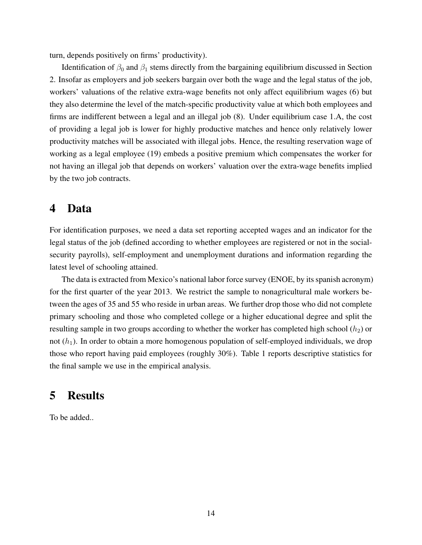turn, depends positively on firms' productivity).

Identification of  $\beta_0$  and  $\beta_1$  stems directly from the bargaining equilibrium discussed in Section 2. Insofar as employers and job seekers bargain over both the wage and the legal status of the job, workers' valuations of the relative extra-wage benefits not only affect equilibrium wages (6) but they also determine the level of the match-specific productivity value at which both employees and firms are indifferent between a legal and an illegal job (8). Under equilibrium case 1.A, the cost of providing a legal job is lower for highly productive matches and hence only relatively lower productivity matches will be associated with illegal jobs. Hence, the resulting reservation wage of working as a legal employee (19) embeds a positive premium which compensates the worker for not having an illegal job that depends on workers' valuation over the extra-wage benefits implied by the two job contracts.

### 4 Data

For identification purposes, we need a data set reporting accepted wages and an indicator for the legal status of the job (defined according to whether employees are registered or not in the socialsecurity payrolls), self-employment and unemployment durations and information regarding the latest level of schooling attained.

The data is extracted from Mexico's national labor force survey (ENOE, by its spanish acronym) for the first quarter of the year 2013. We restrict the sample to nonagricultural male workers between the ages of 35 and 55 who reside in urban areas. We further drop those who did not complete primary schooling and those who completed college or a higher educational degree and split the resulting sample in two groups according to whether the worker has completed high school  $(h_2)$  or not  $(h_1)$ . In order to obtain a more homogenous population of self-employed individuals, we drop those who report having paid employees (roughly 30%). Table 1 reports descriptive statistics for the final sample we use in the empirical analysis.

### 5 Results

To be added..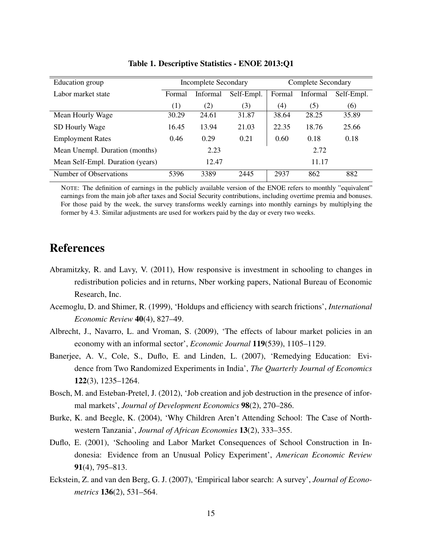| Education group                  | <b>Incomplete Secondary</b> |          |            | <b>Complete Secondary</b> |          |            |
|----------------------------------|-----------------------------|----------|------------|---------------------------|----------|------------|
| Labor market state               | Formal                      | Informal | Self-Empl. | Formal                    | Informal | Self-Empl. |
|                                  | (1)                         | (2)      | (3)        | (4)                       | (5)      | (6)        |
| Mean Hourly Wage                 | 30.29                       | 24.61    | 31.87      | 38.64                     | 28.25    | 35.89      |
| SD Hourly Wage                   | 16.45                       | 13.94    | 21.03      | 22.35                     | 18.76    | 25.66      |
| <b>Employment Rates</b>          | 0.46                        | 0.29     | 0.21       | 0.60                      | 0.18     | 0.18       |
| Mean Unempl. Duration (months)   | 2.23                        |          |            | 2.72                      |          |            |
| Mean Self-Empl. Duration (years) | 12.47                       |          |            | 11.17                     |          |            |
| Number of Observations           | 5396                        | 3389     | 2445       | 2937                      | 862      | 882        |

#### Table 1. Descriptive Statistics - ENOE 2013:Q1

NOTE: The definition of earnings in the publicly available version of the ENOE refers to monthly "equivalent" earnings from the main job after taxes and Social Security contributions, including overtime premia and bonuses. For those paid by the week, the survey transforms weekly earnings into monthly earnings by multiplying the former by 4.3. Similar adjustments are used for workers paid by the day or every two weeks.

# References

- Abramitzky, R. and Lavy, V. (2011), How responsive is investment in schooling to changes in redistribution policies and in returns, Nber working papers, National Bureau of Economic Research, Inc.
- Acemoglu, D. and Shimer, R. (1999), 'Holdups and efficiency with search frictions', *International Economic Review* 40(4), 827–49.
- Albrecht, J., Navarro, L. and Vroman, S. (2009), 'The effects of labour market policies in an economy with an informal sector', *Economic Journal* 119(539), 1105–1129.
- Banerjee, A. V., Cole, S., Duflo, E. and Linden, L. (2007), 'Remedying Education: Evidence from Two Randomized Experiments in India', *The Quarterly Journal of Economics* 122(3), 1235–1264.
- Bosch, M. and Esteban-Pretel, J. (2012), 'Job creation and job destruction in the presence of informal markets', *Journal of Development Economics* 98(2), 270–286.
- Burke, K. and Beegle, K. (2004), 'Why Children Aren't Attending School: The Case of Northwestern Tanzania', *Journal of African Economies* 13(2), 333–355.
- Duflo, E. (2001), 'Schooling and Labor Market Consequences of School Construction in Indonesia: Evidence from an Unusual Policy Experiment', *American Economic Review* 91(4), 795–813.
- Eckstein, Z. and van den Berg, G. J. (2007), 'Empirical labor search: A survey', *Journal of Econometrics* 136(2), 531–564.